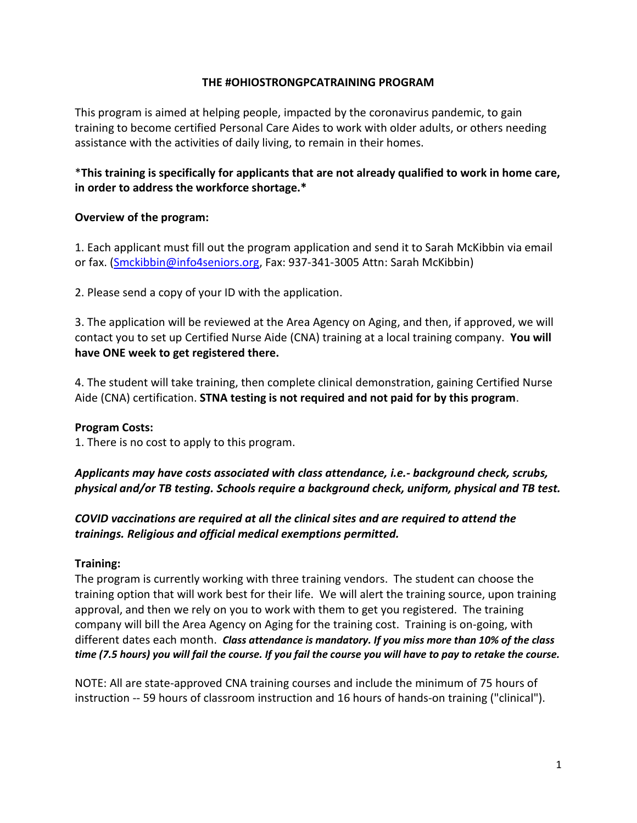### **THE #OHIOSTRONGPCATRAINING PROGRAM**

This program is aimed at helping people, impacted by the coronavirus pandemic, to gain training to become certified Personal Care Aides to work with older adults, or others needing assistance with the activities of daily living, to remain in their homes.

## \***This training is specifically for applicants that are not already qualified to work in home care, in order to address the workforce shortage.\***

### **Overview of the program:**

1. Each applicant must fill out the program application and send it to Sarah McKibbin via email or fax. [\(Smckibbin@info4seniors.org,](mailto:Smckibbin@info4seniors.org) Fax: 937-341-3005 Attn: Sarah McKibbin)

2. Please send a copy of your ID with the application.

3. The application will be reviewed at the Area Agency on Aging, and then, if approved, we will contact you to set up Certified Nurse Aide (CNA) training at a local training company. **You will have ONE week to get registered there.**

4. The student will take training, then complete clinical demonstration, gaining Certified Nurse Aide (CNA) certification. **STNA testing is not required and not paid for by this program**.

#### **Program Costs:**

1. There is no cost to apply to this program.

*Applicants may have costs associated with class attendance, i.e.- background check, scrubs, physical and/or TB testing. Schools require a background check, uniform, physical and TB test.*

# *COVID vaccinations are required at all the clinical sites and are required to attend the trainings. Religious and official medical exemptions permitted.*

## **Training:**

The program is currently working with three training vendors. The student can choose the training option that will work best for their life. We will alert the training source, upon training approval, and then we rely on you to work with them to get you registered. The training company will bill the Area Agency on Aging for the training cost. Training is on-going, with different dates each month. *Class attendance is mandatory. If you miss more than 10% of the class time (7.5 hours) you will fail the course. If you fail the course you will have to pay to retake the course.* 

NOTE: All are state-approved CNA training courses and include the minimum of 75 hours of instruction -- 59 hours of classroom instruction and 16 hours of hands-on training ("clinical").